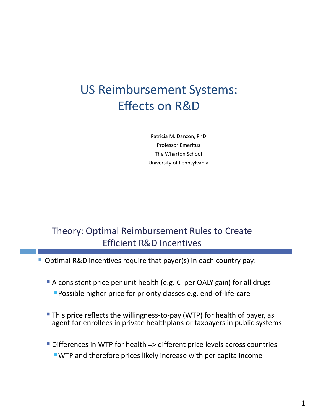# US Reimbursement Systems: Effects on R&D

Patricia M. Danzon, PhD Professor Emeritus The Wharton School University of Pennsylvania

### Theory: Optimal Reimbursement Rules to Create Efficient R&D Incentives

Optimal R&D incentives require that payer(s) in each country pay:

- A consistent price per unit health (e.g.  $\epsilon$  per QALY gain) for all drugs Possible higher price for priority classes e.g. end-of-life-care
- **This price reflects the willingness-to-pay (WTP) for health of payer, as** agent for enrollees in private healthplans or taxpayers in public systems
- Differences in WTP for health => different price levels across countries WTP and therefore prices likely increase with per capita income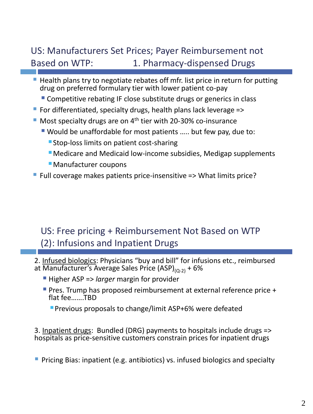## US: Manufacturers Set Prices; Payer Reimbursement not Based on WTP: 1. Pharmacy-dispensed Drugs

- Health plans try to negotiate rebates off mfr. list price in return for putting drug on preferred formulary tier with lower patient co-pay
	- **Competitive rebating IF close substitute drugs or generics in class**
- For differentiated, specialty drugs, health plans lack leverage =>
- $\blacksquare$  Most specialty drugs are on 4<sup>th</sup> tier with 20-30% co-insurance
	- Would be unaffordable for most patients ….. but few pay, due to:
		- **Stop-loss limits on patient cost-sharing**
		- Medicare and Medicaid low-income subsidies, Medigap supplements
		- Manufacturer coupons
- Full coverage makes patients price-insensitive => What limits price?

### US: Free pricing + Reimbursement Not Based on WTP (2): Infusions and Inpatient Drugs

- 2. Infused biologics: Physicians "buy and bill" for infusions etc., reimbursed at Manufacturer's Average Sales Price (ASP) $_{(Q-2)} + 6\%$ 
	- Higher ASP => *larger* margin for provider
	- **Pres. Trump has proposed reimbursement at external reference price +** flat fee…….TBD
		- **Previous proposals to change/limit ASP+6% were defeated**

3. Inpatient drugs: Bundled (DRG) payments to hospitals include drugs => hospitals as price-sensitive customers constrain prices for inpatient drugs

**Pricing Bias: inpatient (e.g. antibiotics) vs. infused biologics and specialty**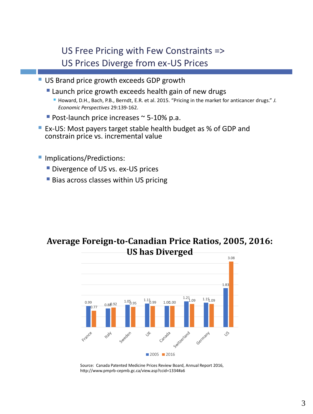US Free Pricing with Few Constraints => US Prices Diverge from ex-US Prices

- US Brand price growth exceeds GDP growth
	- **Launch price growth exceeds health gain of new drugs** 
		- Howard, D.H., Bach, P.B., Berndt, E.R. et al. 2015. "Pricing in the market for anticancer drugs." *J. Economic Perspectives* 29:139-162.
	- Post-launch price increases  $\sim$  5-10% p.a.
- **EX-US: Most payers target stable health budget as % of GDP and** constrain price vs. incremental value
- **Implications/Predictions:** 
	- **Divergence of US vs. ex-US prices**
	- **Bias across classes within US pricing**





Source: Canada Patented Medicine Prices Review Board, Annual Report 2016, http://www.pmprb-cepmb.gc.ca/view.asp?ccid=1334#a6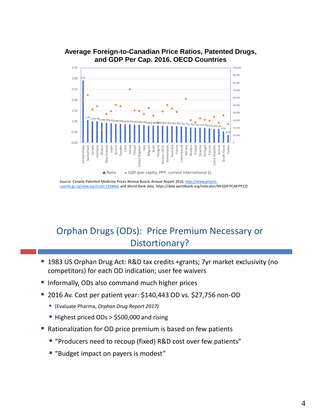

#### **Average Foreign-to-Canadian Price Ratios, Patented Drugs, and GDP Per Cap. 2016. OECD Countries**

[Source: Canada Patented Medicine Prices Review Board, Annual Report 2016, http://www.pmprb](http://www.pmprb-cepmb.gc.ca/view.asp?ccid=1334#a6)cepmb.gc.ca/view.asp?ccid=1334#a6 and World Bank data, https://data.worldbank.org/indicator/NY.GDP.PCAP.PP.CD

## Orphan Drugs (ODs): Price Premium Necessary or Distortionary?

- 1983 US Orphan Drug Act: R&D tax credits +grants; 7yr market exclusivity (no competitors) for each OD indication; user fee waivers
- **Informally, ODs also command much higher prices**
- 2016 Av. Cost per patient year: \$140,443 OD vs. \$27,756 non-OD
	- (Evaluate Pharma, *Orphan Drug Report 2017)*
	- Highest priced ODs > \$500,000 and rising
- Rationalization for OD price premium is based on few patients
	- "Producers need to recoup (fixed) R&D cost over few patients"
	- "Budget impact on payers is modest"